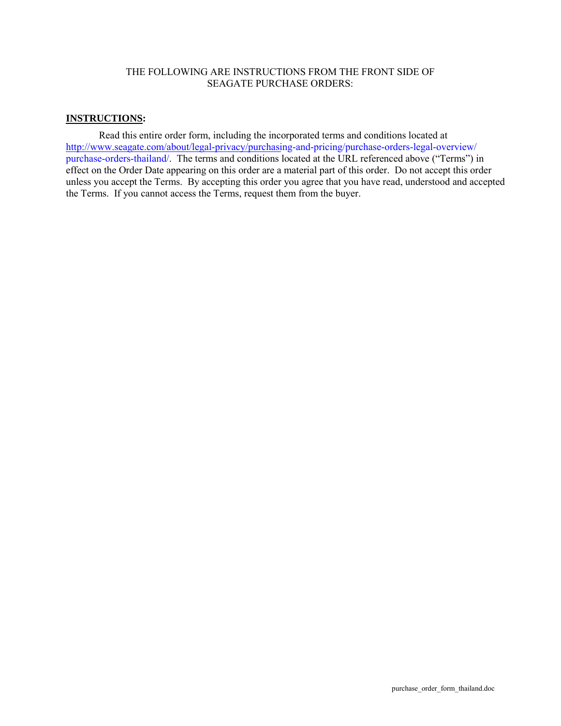### THE FOLLOWING ARE INSTRUCTIONS FROM THE FRONT SIDE OF SEAGATE PURCHASE ORDERS:

## **INSTRUCTIONS :**

Read this entire order form, including the incorporated terms and conditions located at [http://www.seagate.com/about/legal-privacy/purchasing-and-pricing/purchase-orders-legal-overview/](http://www.seagate.com/about/legal-privacy/purchasing-and-pricing/purchase-orders-legal-overview/purchase-orders-thailand/) purchase-orders-thailand/. The terms and conditions located at the URL referenced above ("Terms") in effect on the Order Date appearing on this order are a material part of this order. Do not accept this order unless you accept the Terms. By accepting this order you agree that you have read, understood and accepted the Terms. If you cannot access the Terms, request them from the buyer.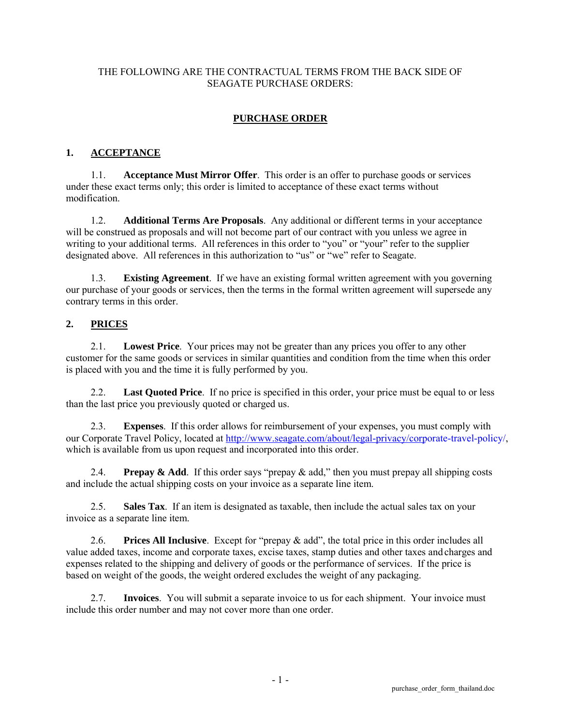## THE FOLLOWING ARE THE CONTRACTUAL TERMS FROM THE BACK SIDE OF SEAGATE PURCHASE ORDERS:

# **PURCHASE ORDER**

#### **1. ACCEPTANCE**

1.1. **Acceptance Must Mirror Offer**. This order is an offer to purchase goods or services under these exact terms only; this order is limited to acceptance of these exact terms without modification.

1.2. **Additional Terms Are Proposals**. Any additional or different terms in your acceptance will be construed as proposals and will not become part of our contract with you unless we agree in writing to your additional terms. All references in this order to "you" or "your" refer to the supplier designated above. All references in this authorization to "us" or "we" refer to Seagate.

1.3. **Existing Agreement**. If we have an existing formal written agreement with you governing our purchase of your goods or services, then the terms in the formal written agreement will supersede any contrary terms in this order.

#### **2. PRICES**

2.1. **Lowest Price**. Your prices may not be greater than any prices you offer to any other customer for the same goods or services in similar quantities and condition from the time when this order is placed with you and the time it is fully performed by you.

2.2. **Last Quoted Price**. If no price is specified in this order, your price must be equal to or less than the last price you previously quoted or charged us.

2.3. **Expenses**. If this order allows for reimbursement of your expenses, you must comply with our Corporate Travel Policy, located at<http://www.seagate.com/about/legal-privacy/corporate-travel-policy/>, which is available from us upon request and incorporated into this order.

2.4. **Prepay & Add**. If this order says "prepay & add," then you must prepay all shipping costs and include the actual shipping costs on your invoice as a separate line item.

2.5. **Sales Tax**. If an item is designated as taxable, then include the actual sales tax on your invoice as a separate line item.

2.6. **Prices All Inclusive**. Except for "prepay & add", the total price in this order includes all value added taxes, income and corporate taxes, excise taxes, stamp duties and other taxes and charges and expenses related to the shipping and delivery of goods or the performance of services. If the price is based on weight of the goods, the weight ordered excludes the weight of any packaging.

2.7. **Invoices**. You will submit a separate invoice to us for each shipment. Your invoice must include this order number and may not cover more than one order.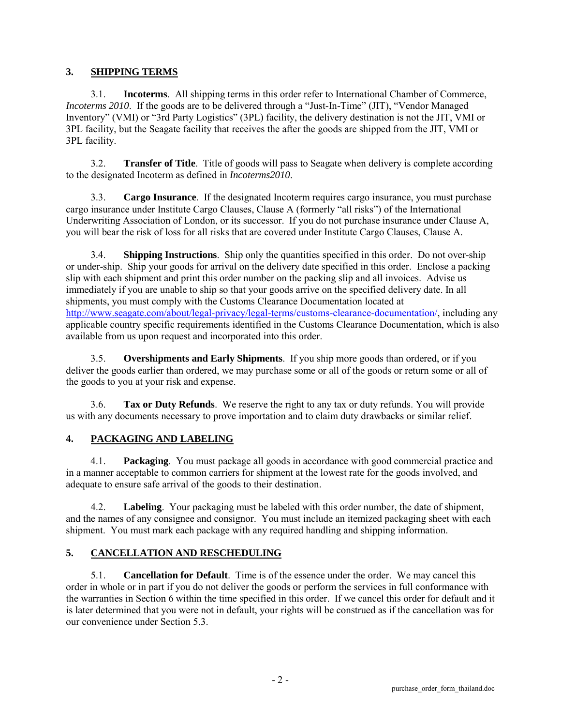#### **3. SHIPPING TERMS**

3.1. **Incoterms**. All shipping terms in this order refer to International Chamber of Commerce, *Incoterms 2010*. If the goods are to be delivered through a "Just-In-Time" (JIT), "Vendor Managed Inventory" (VMI) or "3rd Party Logistics" (3PL) facility, the delivery destination is not the JIT, VMI or 3PL facility, but the Seagate facility that receives the after the goods are shipped from the JIT, VMI or 3PL facility.

3.2. **Transfer of Title**. Title of goods will pass to Seagate when delivery is complete according to the designated Incoterm as defined in *Incoterms2010*.

3.3. **Cargo Insurance**. If the designated Incoterm requires cargo insurance, you must purchase cargo insurance under Institute Cargo Clauses, Clause A (formerly "all risks") of the International Underwriting Association of London, or its successor. If you do not purchase insurance under Clause A, you will bear the risk of loss for all risks that are covered under Institute Cargo Clauses, Clause A.

3.4. **Shipping Instructions**. Ship only the quantities specified in this order. Do not over-ship or under-ship. Ship your goods for arrival on the delivery date specified in this order. Enclose a packing slip with each shipment and print this order number on the packing slip and all invoices. Advise us immediately if you are unable to ship so that your goods arrive on the specified delivery date. In all shipments, you must comply with the Customs Clearance Documentation located at [http://www.seagate.com/about/legal-privacy/legal-terms/customs-clearance-documentation/,](http://www.seagate.com/about/legal-privacy/legal-terms/customs-clearance-documentation/) including any applicable country specific requirements identified in the Customs Clearance Documentation, which is also available from us upon request and incorporated into this order.

3.5. **Overshipments and Early Shipments**. If you ship more goods than ordered, or if you deliver the goods earlier than ordered, we may purchase some or all of the goods or return some or all of the goods to you at your risk and expense.

3.6. **Tax or Duty Refunds**. We reserve the right to any tax or duty refunds. You will provide us with any documents necessary to prove importation and to claim duty drawbacks or similar relief.

### **4. PACKAGING AND LABELING**

4.1. **Packaging**. You must package all goods in accordance with good commercial practice and in a manner acceptable to common carriers for shipment at the lowest rate for the goods involved, and adequate to ensure safe arrival of the goods to their destination.

4.2. **Labeling**. Your packaging must be labeled with this order number, the date of shipment, and the names of any consignee and consignor. You must include an itemized packaging sheet with each shipment. You must mark each package with any required handling and shipping information.

### **5. CANCELLATION AND RESCHEDULING**

5.1. **Cancellation for Default**. Time is of the essence under the order. We may cancel this order in whole or in part if you do not deliver the goods or perform the services in full conformance with the warranties in Section 6 within the time specified in this order. If we cancel this order for default and it is later determined that you were not in default, your rights will be construed as if the cancellation was for our convenience under Section 5.3.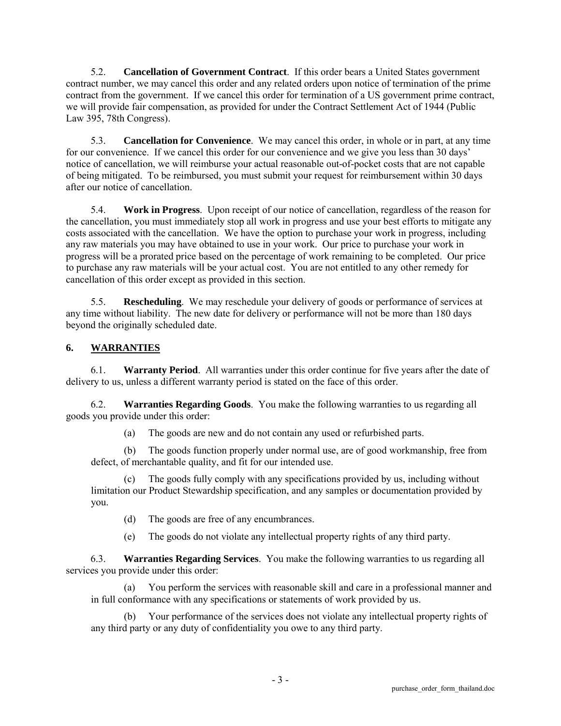5.2. **Cancellation of Government Contract**. If this order bears a United States government contract number, we may cancel this order and any related orders upon notice of termination of the prime contract from the government. If we cancel this order for termination of a US government prime contract, we will provide fair compensation, as provided for under the Contract Settlement Act of 1944 (Public Law 395, 78th Congress).

5.3. **Cancellation for Convenience**. We may cancel this order, in whole or in part, at any time for our convenience. If we cancel this order for our convenience and we give you less than 30 days' notice of cancellation, we will reimburse your actual reasonable out-of-pocket costs that are not capable of being mitigated. To be reimbursed, you must submit your request for reimbursement within 30 days after our notice of cancellation.

5.4. **Work in Progress**. Upon receipt of our notice of cancellation, regardless of the reason for the cancellation, you must immediately stop all work in progress and use your best efforts to mitigate any costs associated with the cancellation. We have the option to purchase your work in progress, including any raw materials you may have obtained to use in your work. Our price to purchase your work in progress will be a prorated price based on the percentage of work remaining to be completed. Our price to purchase any raw materials will be your actual cost. You are not entitled to any other remedy for cancellation of this order except as provided in this section.

5.5. **Rescheduling**. We may reschedule your delivery of goods or performance of services at any time without liability. The new date for delivery or performance will not be more than 180 days beyond the originally scheduled date.

#### **6. WARRANTIES**

6.1. **Warranty Period**. All warranties under this order continue for five years after the date of delivery to us, unless a different warranty period is stated on the face of this order.

6.2. **Warranties Regarding Goods**. You make the following warranties to us regarding all goods you provide under this order:

(a) The goods are new and do not contain any used or refurbished parts.

(b) The goods function properly under normal use, are of good workmanship, free from defect, of merchantable quality, and fit for our intended use.

The goods fully comply with any specifications provided by us, including without limitation our Product Stewardship specification, and any samples or documentation provided by you.

(d) The goods are free of any encumbrances.

(e) The goods do not violate any intellectual property rights of any third party.

6.3. **Warranties Regarding Services**. You make the following warranties to us regarding all services you provide under this order:

(a) You perform the services with reasonable skill and care in a professional manner and in full conformance with any specifications or statements of work provided by us.

Your performance of the services does not violate any intellectual property rights of any third party or any duty of confidentiality you owe to any third party.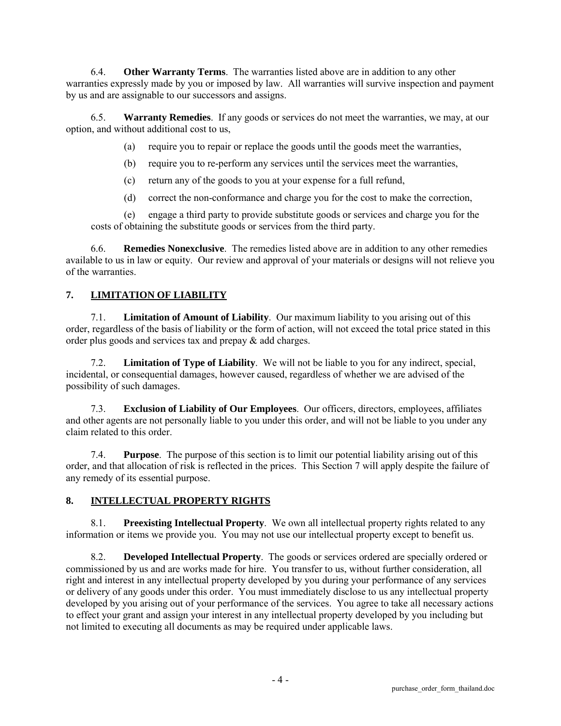6.4. **Other Warranty Terms**. The warranties listed above are in addition to any other warranties expressly made by you or imposed by law. All warranties will survive inspection and payment by us and are assignable to our successors and assigns.

6.5. **Warranty Remedies**. If any goods or services do not meet the warranties, we may, at our option, and without additional cost to us,

(a) require you to repair or replace the goods until the goods meet the warranties,

(b) require you to re-perform any services until the services meet the warranties,

(c) return any of the goods to you at your expense for a full refund,

(d) correct the non-conformance and charge you for the cost to make the correction,

(e) engage a third party to provide substitute goods or services and charge you for the costs of obtaining the substitute goods or services from the third party.

6.6. **Remedies Nonexclusive**. The remedies listed above are in addition to any other remedies available to us in law or equity. Our review and approval of your materials or designs will not relieve you of the warranties.

### **7. LIMITATION OF LIABILITY**

7.1. **Limitation of Amount of Liability**. Our maximum liability to you arising out of this order, regardless of the basis of liability or the form of action, will not exceed the total price stated in this order plus goods and services tax and prepay & add charges.

7.2. **Limitation of Type of Liability**. We will not be liable to you for any indirect, special, incidental, or consequential damages, however caused, regardless of whether we are advised of the possibility of such damages.

7.3. **Exclusion of Liability of Our Employees**. Our officers, directors, employees, affiliates and other agents are not personally liable to you under this order, and will not be liable to you under any claim related to this order.

7.4. **Purpose**. The purpose of this section is to limit our potential liability arising out of this order, and that allocation of risk is reflected in the prices. This Section 7 will apply despite the failure of any remedy of its essential purpose.

#### **8. INTELLECTUAL PROPERTY RIGHTS**

8.1. **Preexisting Intellectual Property**. We own all intellectual property rights related to any information or items we provide you. You may not use our intellectual property except to benefit us.

8.2. **Developed Intellectual Property**. The goods or services ordered are specially ordered or commissioned by us and are works made for hire. You transfer to us, without further consideration, all right and interest in any intellectual property developed by you during your performance of any services or delivery of any goods under this order. You must immediately disclose to us any intellectual property developed by you arising out of your performance of the services. You agree to take all necessary actions to effect your grant and assign your interest in any intellectual property developed by you including but not limited to executing all documents as may be required under applicable laws.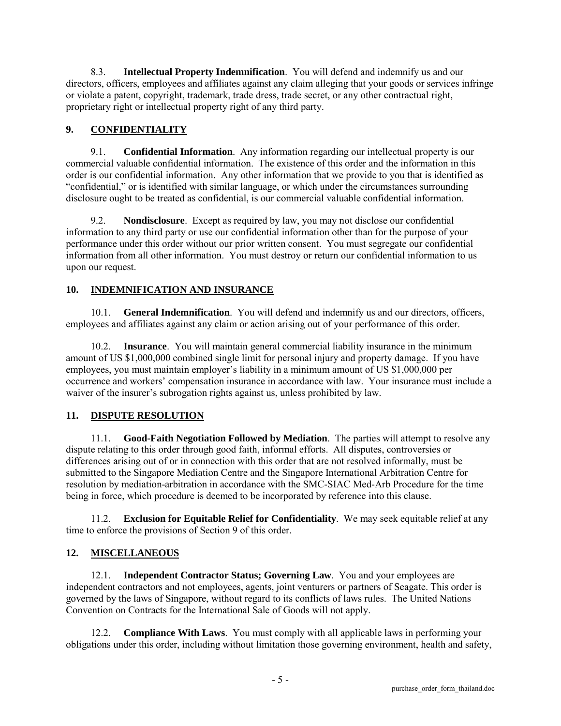8.3. **Intellectual Property Indemnification**. You will defend and indemnify us and our directors, officers, employees and affiliates against any claim alleging that your goods or services infringe or violate a patent, copyright, trademark, trade dress, trade secret, or any other contractual right, proprietary right or intellectual property right of any third party.

### **9. CONFIDENTIALITY**

9.1. **Confidential Information**. Any information regarding our intellectual property is our commercial valuable confidential information. The existence of this order and the information in this order is our confidential information. Any other information that we provide to you that is identified as "confidential," or is identified with similar language, or which under the circumstances surrounding disclosure ought to be treated as confidential, is our commercial valuable confidential information.

9.2. **Nondisclosure**. Except as required by law, you may not disclose our confidential information to any third party or use our confidential information other than for the purpose of your performance under this order without our prior written consent. You must segregate our confidential information from all other information. You must destroy or return our confidential information to us upon our request.

# **10. INDEMNIFICATION AND INSURANCE**

10.1. **General Indemnification**. You will defend and indemnify us and our directors, officers, employees and affiliates against any claim or action arising out of your performance of this order.

10.2. **Insurance**. You will maintain general commercial liability insurance in the minimum amount of US \$1,000,000 combined single limit for personal injury and property damage. If you have employees, you must maintain employer's liability in a minimum amount of US \$1,000,000 per occurrence and workers' compensation insurance in accordance with law. Your insurance must include a waiver of the insurer's subrogation rights against us, unless prohibited by law.

# **11. DISPUTE RESOLUTION**

11.1. **Good-Faith Negotiation Followed by Mediation**. The parties will attempt to resolve any dispute relating to this order through good faith, informal efforts. All disputes, controversies or differences arising out of or in connection with this order that are not resolved informally, must be submitted to the Singapore Mediation Centre and the Singapore International Arbitration Centre for resolution by mediation-arbitration in accordance with the SMC-SIAC Med-Arb Procedure for the time being in force, which procedure is deemed to be incorporated by reference into this clause.

11.2. **Exclusion for Equitable Relief for Confidentiality**. We may seek equitable relief at any time to enforce the provisions of Section 9 of this order.

# **12. MISCELLANEOUS**

12.1. **Independent Contractor Status; Governing Law**. You and your employees are independent contractors and not employees, agents, joint venturers or partners of Seagate. This order is governed by the laws of Singapore, without regard to its conflicts of laws rules. The United Nations Convention on Contracts for the International Sale of Goods will not apply.

12.2. **Compliance With Laws**. You must comply with all applicable laws in performing your obligations under this order, including without limitation those governing environment, health and safety,